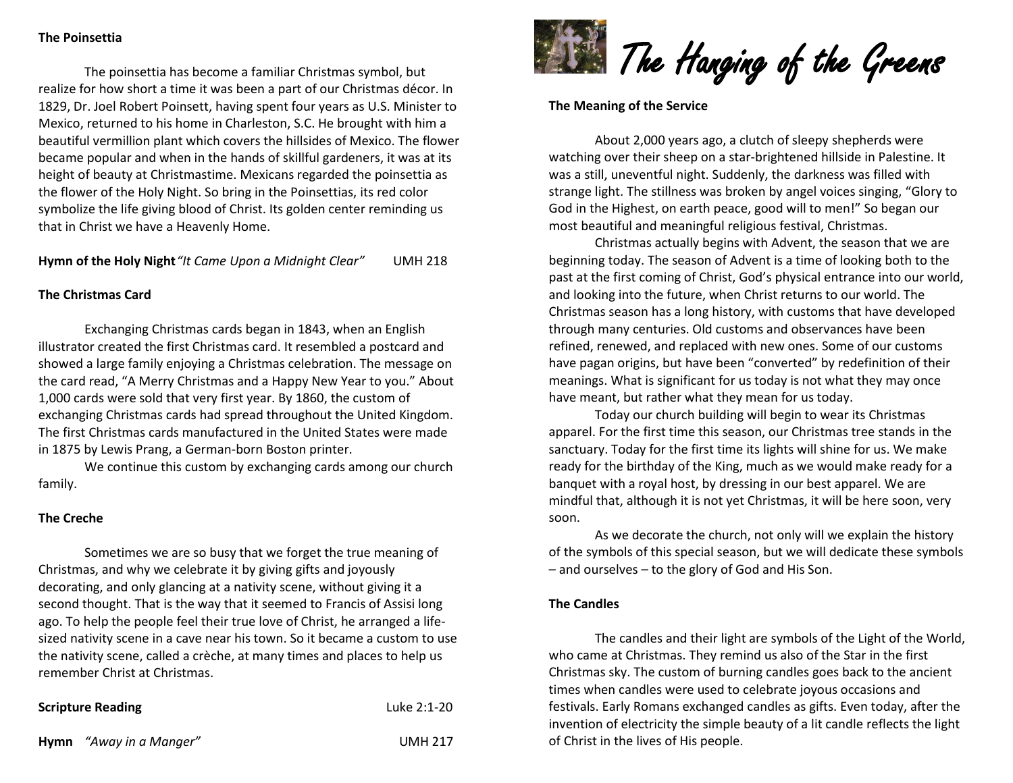## **The Poinsettia**

The poinsettia has become a familiar Christmas symbol, but realize for how short a time it was been a part of our Christmas décor. In 1829, Dr. Joel Robert Poinsett, having spent four years as U.S. Minister to Mexico, returned to his home in Charleston, S.C. He brought with him a beautiful vermillion plant which covers the hillsides of Mexico. The flower became popular and when in the hands of skillful gardeners, it was at its height of beauty at Christmastime. Mexicans regarded the poinsettia as the flower of the Holy Night. So bring in the Poinsettias, its red color symbolize the life giving blood of Christ. Its golden center reminding us that in Christ we have a Heavenly Home.

**Hymn of the Holy Night***"It Came Upon a Midnight Clear"* UMH 218

### **The Christmas Card**

Exchanging Christmas cards began in 1843, when an English illustrator created the first Christmas card. It resembled a postcard and showed a large family enjoying a Christmas celebration. The message on the card read, "A Merry Christmas and a Happy New Year to you." About 1,000 cards were sold that very first year. By 1860, the custom of exchanging Christmas cards had spread throughout the United Kingdom. The first Christmas cards manufactured in the United States were made in 1875 by Lewis Prang, a German-born Boston printer.

We continue this custom by exchanging cards among our church family.

### **The Creche**

Sometimes we are so busy that we forget the true meaning of Christmas, and why we celebrate it by giving gifts and joyously decorating, and only glancing at a nativity scene, without giving it a second thought. That is the way that it seemed to Francis of Assisi long ago. To help the people feel their true love of Christ, he arranged a lifesized nativity scene in a cave near his town. So it became a custom to use the nativity scene, called a crèche, at many times and places to help us remember Christ at Christmas.

## **Scripture Reading** Luke 2:1-20



#### **The Meaning of the Service**

About 2,000 years ago, a clutch of sleepy shepherds were watching over their sheep on a star-brightened hillside in Palestine. It was a still, uneventful night. Suddenly, the darkness was filled with strange light. The stillness was broken by angel voices singing, "Glory to God in the Highest, on earth peace, good will to men!" So began our most beautiful and meaningful religious festival, Christmas.

Christmas actually begins with Advent, the season that we are beginning today. The season of Advent is a time of looking both to the past at the first coming of Christ, God's physical entrance into our world, and looking into the future, when Christ returns to our world. The Christmas season has a long history, with customs that have developed through many centuries. Old customs and observances have been refined, renewed, and replaced with new ones. Some of our customs have pagan origins, but have been "converted" by redefinition of their meanings. What is significant for us today is not what they may once have meant, but rather what they mean for us today.

Today our church building will begin to wear its Christmas apparel. For the first time this season, our Christmas tree stands in the sanctuary. Today for the first time its lights will shine for us. We make ready for the birthday of the King, much as we would make ready for a banquet with a royal host, by dressing in our best apparel. We are mindful that, although it is not yet Christmas, it will be here soon, very soon.

As we decorate the church, not only will we explain the history of the symbols of this special season, but we will dedicate these symbols – and ourselves – to the glory of God and His Son.

#### **The Candles**

The candles and their light are symbols of the Light of the World, who came at Christmas. They remind us also of the Star in the first Christmas sky. The custom of burning candles goes back to the ancient times when candles were used to celebrate joyous occasions and festivals. Early Romans exchanged candles as gifts. Even today, after the invention of electricity the simple beauty of a lit candle reflects the light of Christ in the lives of His people.